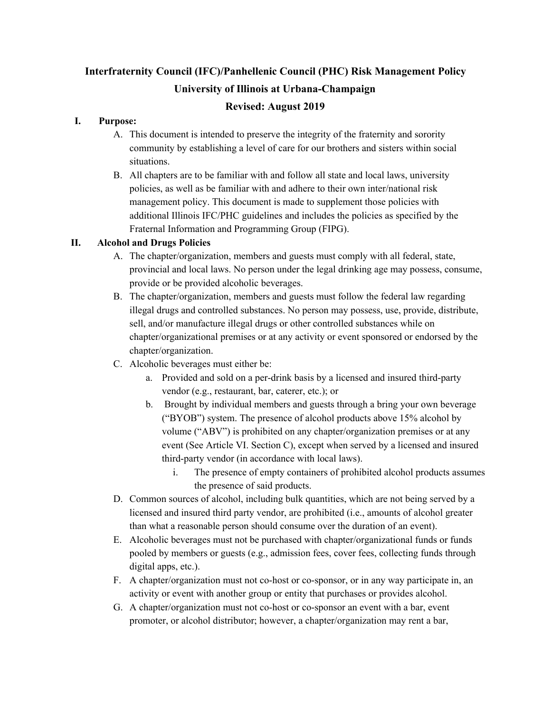# **Interfraternity Council (IFC)/Panhellenic Council (PHC) Risk Management Policy University of Illinois at Urbana-Champaign**

# **Revised: August 2019**

## **I. Purpose:**

- A. This document is intended to preserve the integrity of the fraternity and sorority community by establishing a level of care for our brothers and sisters within social situations.
- B. All chapters are to be familiar with and follow all state and local laws, university policies, as well as be familiar with and adhere to their own inter/national risk management policy. This document is made to supplement those policies with additional Illinois IFC/PHC guidelines and includes the policies as specified by the Fraternal Information and Programming Group (FIPG).

# **II. Alcohol and Drugs Policies**

- A. The chapter/organization, members and guests must comply with all federal, state, provincial and local laws. No person under the legal drinking age may possess, consume, provide or be provided alcoholic beverages.
- B. The chapter/organization, members and guests must follow the federal law regarding illegal drugs and controlled substances. No person may possess, use, provide, distribute, sell, and/or manufacture illegal drugs or other controlled substances while on chapter/organizational premises or at any activity or event sponsored or endorsed by the chapter/organization.
- C. Alcoholic beverages must either be:
	- a. Provided and sold on a per-drink basis by a licensed and insured third-party vendor (e.g., restaurant, bar, caterer, etc.); or
	- b. Brought by individual members and guests through a bring your own beverage ("BYOB") system. The presence of alcohol products above 15% alcohol by volume ("ABV") is prohibited on any chapter/organization premises or at any event (See Article VI. Section C), except when served by a licensed and insured third-party vendor (in accordance with local laws).
		- i. The presence of empty containers of prohibited alcohol products assumes the presence of said products.
- D. Common sources of alcohol, including bulk quantities, which are not being served by a licensed and insured third party vendor, are prohibited (i.e., amounts of alcohol greater than what a reasonable person should consume over the duration of an event).
- E. Alcoholic beverages must not be purchased with chapter/organizational funds or funds pooled by members or guests (e.g., admission fees, cover fees, collecting funds through digital apps, etc.).
- F. A chapter/organization must not co-host or co-sponsor, or in any way participate in, an activity or event with another group or entity that purchases or provides alcohol.
- G. A chapter/organization must not co-host or co-sponsor an event with a bar, event promoter, or alcohol distributor; however, a chapter/organization may rent a bar,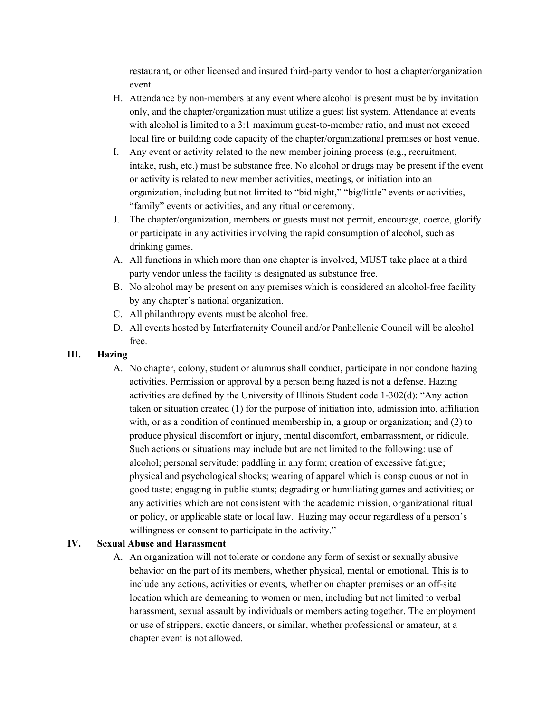restaurant, or other licensed and insured third-party vendor to host a chapter/organization event.

- H. Attendance by non-members at any event where alcohol is present must be by invitation only, and the chapter/organization must utilize a guest list system. Attendance at events with alcohol is limited to a 3:1 maximum guest-to-member ratio, and must not exceed local fire or building code capacity of the chapter/organizational premises or host venue.
- I. Any event or activity related to the new member joining process (e.g., recruitment, intake, rush, etc.) must be substance free. No alcohol or drugs may be present if the event or activity is related to new member activities, meetings, or initiation into an organization, including but not limited to "bid night," "big/little" events or activities, "family" events or activities, and any ritual or ceremony.
- J. The chapter/organization, members or guests must not permit, encourage, coerce, glorify or participate in any activities involving the rapid consumption of alcohol, such as drinking games.
- A. All functions in which more than one chapter is involved, MUST take place at a third party vendor unless the facility is designated as substance free.
- B. No alcohol may be present on any premises which is considered an alcohol-free facility by any chapter's national organization.
- C. All philanthropy events must be alcohol free.
- D. All events hosted by Interfraternity Council and/or Panhellenic Council will be alcohol free.
- **III. Hazing**
	- A. No chapter, colony, student or alumnus shall conduct, participate in nor condone hazing activities. Permission or approval by a person being hazed is not a defense. Hazing activities are defined by the University of Illinois Student code 1-302(d): "Any action taken or situation created (1) for the purpose of initiation into, admission into, affiliation with, or as a condition of continued membership in, a group or organization; and (2) to produce physical discomfort or injury, mental discomfort, embarrassment, or ridicule. Such actions or situations may include but are not limited to the following: use of alcohol; personal servitude; paddling in any form; creation of excessive fatigue; physical and psychological shocks; wearing of apparel which is conspicuous or not in good taste; engaging in public stunts; degrading or humiliating games and activities; or any activities which are not consistent with the academic mission, organizational ritual or policy, or applicable state or local law. Hazing may occur regardless of a person's willingness or consent to participate in the activity."

#### **IV. Sexual Abuse and Harassment**

A. An organization will not tolerate or condone any form of sexist or sexually abusive behavior on the part of its members, whether physical, mental or emotional. This is to include any actions, activities or events, whether on chapter premises or an off-site location which are demeaning to women or men, including but not limited to verbal harassment, sexual assault by individuals or members acting together. The employment or use of strippers, exotic dancers, or similar, whether professional or amateur, at a chapter event is not allowed.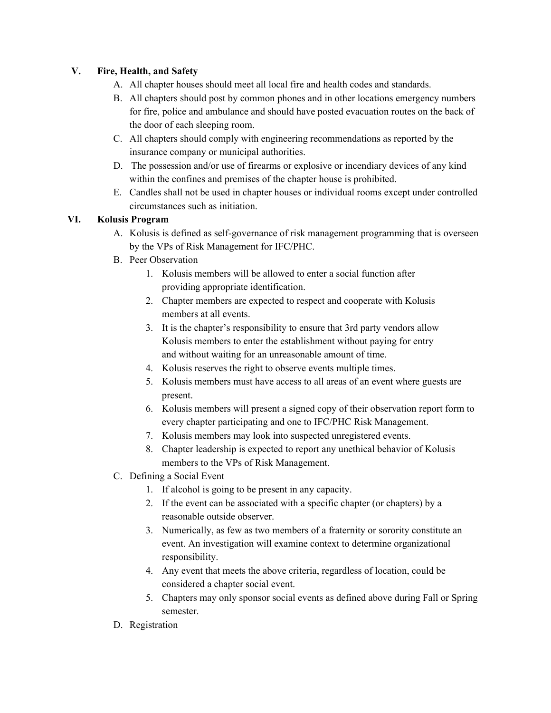## **V. Fire, Health, and Safety**

- A. All chapter houses should meet all local fire and health codes and standards.
- B. All chapters should post by common phones and in other locations emergency numbers for fire, police and ambulance and should have posted evacuation routes on the back of the door of each sleeping room.
- C. All chapters should comply with engineering recommendations as reported by the insurance company or municipal authorities.
- D. The possession and/or use of firearms or explosive or incendiary devices of any kind within the confines and premises of the chapter house is prohibited.
- E. Candles shall not be used in chapter houses or individual rooms except under controlled circumstances such as initiation.

## **VI. Kolusis Program**

- A. Kolusis is defined as self-governance of risk management programming that is overseen by the VPs of Risk Management for IFC/PHC.
- B. Peer Observation
	- 1. Kolusis members will be allowed to enter a social function after providing appropriate identification.
	- 2. Chapter members are expected to respect and cooperate with Kolusis members at all events.
	- 3. It is the chapter's responsibility to ensure that 3rd party vendors allow Kolusis members to enter the establishment without paying for entry and without waiting for an unreasonable amount of time.
	- 4. Kolusis reserves the right to observe events multiple times.
	- 5. Kolusis members must have access to all areas of an event where guests are present.
	- 6. Kolusis members will present a signed copy of their observation report form to every chapter participating and one to IFC/PHC Risk Management.
	- 7. Kolusis members may look into suspected unregistered events.
	- 8. Chapter leadership is expected to report any unethical behavior of Kolusis members to the VPs of Risk Management.
- C. Defining a Social Event
	- 1. If alcohol is going to be present in any capacity.
	- 2. If the event can be associated with a specific chapter (or chapters) by a reasonable outside observer.
	- 3. Numerically, as few as two members of a fraternity or sorority constitute an event. An investigation will examine context to determine organizational responsibility.
	- 4. Any event that meets the above criteria, regardless of location, could be considered a chapter social event.
	- 5. Chapters may only sponsor social events as defined above during Fall or Spring semester.
- D. Registration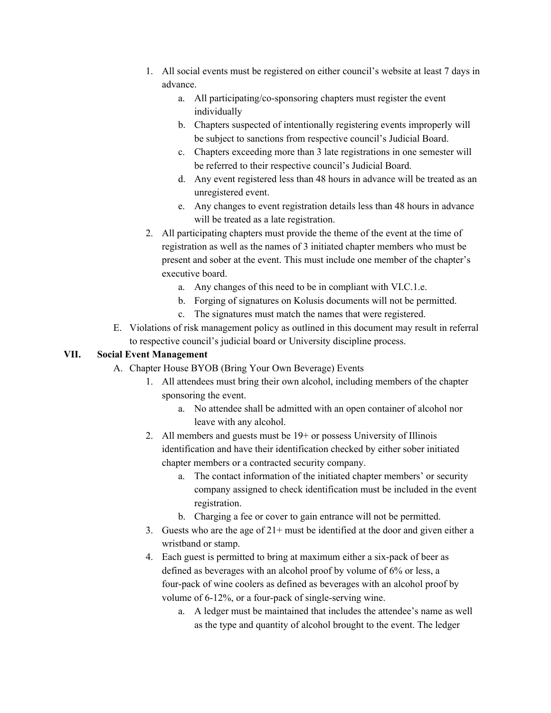- 1. All social events must be registered on either council's website at least 7 days in advance.
	- a. All participating/co-sponsoring chapters must register the event individually
	- b. Chapters suspected of intentionally registering events improperly will be subject to sanctions from respective council's Judicial Board.
	- c. Chapters exceeding more than 3 late registrations in one semester will be referred to their respective council's Judicial Board.
	- d. Any event registered less than 48 hours in advance will be treated as an unregistered event.
	- e. Any changes to event registration details less than 48 hours in advance will be treated as a late registration.
- 2. All participating chapters must provide the theme of the event at the time of registration as well as the names of 3 initiated chapter members who must be present and sober at the event. This must include one member of the chapter's executive board.
	- a. Any changes of this need to be in compliant with VI.C.1.e.
	- b. Forging of signatures on Kolusis documents will not be permitted.
	- c. The signatures must match the names that were registered.
- E. Violations of risk management policy as outlined in this document may result in referral to respective council's judicial board or University discipline process.

#### **VII. Social Event Management**

- A. Chapter House BYOB (Bring Your Own Beverage) Events
	- 1. All attendees must bring their own alcohol, including members of the chapter sponsoring the event.
		- a. No attendee shall be admitted with an open container of alcohol nor leave with any alcohol.
	- 2. All members and guests must be 19+ or possess University of Illinois identification and have their identification checked by either sober initiated chapter members or a contracted security company.
		- a. The contact information of the initiated chapter members' or security company assigned to check identification must be included in the event registration.
		- b. Charging a fee or cover to gain entrance will not be permitted.
	- 3. Guests who are the age of  $21+$  must be identified at the door and given either a wristband or stamp.
	- 4. Each guest is permitted to bring at maximum either a six-pack of beer as defined as beverages with an alcohol proof by volume of 6% or less, a four-pack of wine coolers as defined as beverages with an alcohol proof by volume of 6-12%, or a four-pack of single-serving wine.
		- a. A ledger must be maintained that includes the attendee's name as well as the type and quantity of alcohol brought to the event. The ledger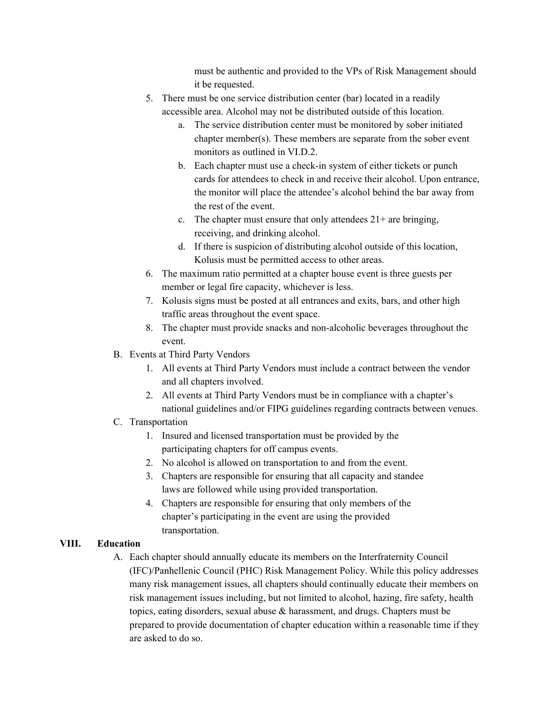must be authentic and provided to the VPs of Risk Management should it be requested.

- 5. There must be one service distribution center (bar) located in a readily accessible area. Alcohol may not be distributed outside of this location.
	- a. The service distribution center must be monitored by sober initiated chapter member(s). These members are separate from the sober event monitors as outlined in VI.D.2.
	- b. Each chapter must use a check-in system of either tickets or punch cards for attendees to check in and receive their alcohol. Upon entrance, the monitor will place the attendee's alcohol behind the bar away from the rest of the event.
	- c. The chapter must ensure that only attendees  $21+$  are bringing, receiving, and drinking alcohol.
	- d. If there is suspicion of distributing alcohol outside of this location, Kolusis must be permitted access to other areas.
- 6. The maximum ratio permitted at a chapter house event is three guests per member or legal fire capacity, whichever is less.
- 7. Kolusis signs must be posted at all entrances and exits, bars, and other high traffic areas throughout the event space.
- 8. The chapter must provide snacks and non-alcoholic beverages throughout the event.
- B. Events at Third Party Vendors
	- 1. All events at Third Party Vendors must include a contract between the vendor and all chapters involved.
	- 2. All events at Third Party Vendors must be in compliance with a chapter's national guidelines and/or FIPG [guidelines](http://0104.nccdn.net/1_5/161/330/2d3/ThirdPartyVendorChecklist.pdf) regarding contracts between venues.
- C. Transportation
	- 1. Insured and licensed transportation must be provided by the participating chapters for off campus events.
	- 2. No alcohol is allowed on transportation to and from the event.
	- 3. Chapters are responsible for ensuring that all capacity and standee laws are followed while using provided transportation.
	- 4. Chapters are responsible for ensuring that only members of the chapter's participating in the event are using the provided transportation.

# **VIII. Education**

A. Each chapter should annually educate its members on the Interfraternity Council (IFC)/Panhellenic Council (PHC) Risk Management Policy. While this policy addresses many risk management issues, all chapters should continually educate their members on risk management issues including, but not limited to alcohol, hazing, fire safety, health topics, eating disorders, sexual abuse & harassment, and drugs. Chapters must be prepared to provide documentation of chapter education within a reasonable time if they are asked to do so.